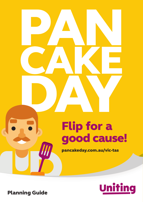



Planning Guide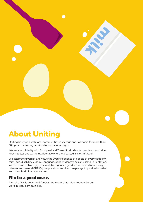## About Uniting

Uniting has stood with local communities in Victoria and Tasmania for more than 100 years, delivering services to people of all ages.

We work in solidarity with Aboriginal and Torres Strait Islander people as Australia's First Peoples and as the traditional owners and custodians of this land.

We celebrate diversity and value the lived experience of people of every ethnicity, faith, age, disability, culture, language, gender identity, sex and sexual orientation. We welcome lesbian, gay, bisexual, transgender, gender diverse and non-binary, intersex and queer (LGBTIQ+) people at our services. We pledge to provide inclusive and non-discriminatory services.

### Flip for a good cause.

Pancake Day is an annual fundraising event that raises money for our work in local communities.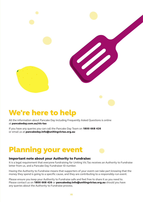## We're here to help

All the information about Pancake Day including Frequently Asked Questions is online at pancakeday.com.au/vic-tas

If you have any queries you can call the Pancake Day Team on 1800 668 426 or email us at pancakeday.info@unitingvictas.org.au

## Planning your event

#### Important note about your Authority to Fundraise:

It is a legal requirement that everyone fundraising for Uniting Vic.Tas receives an Authority to Fundraise letter from us, and a Pancake Day Fundraiser ID number.

Change of the Company

Having the Authority to Fundraise means that supporters of your event can take part knowing that the money they spend is going to a specific cause, and they are contributing to a responsibly-run event.

Please ensure you keep your Authority to Fundraise safe and feel free to share it as you need to. Please contact us on 1800 668 426 or pancakeday.info@unitingvictas.org.au should you have any queries about the Authority to Fundraise process.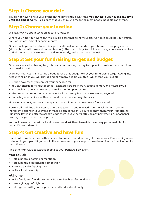## Step 1: Choose your date

You do not have to hold your event on the day Pancake Day falls, you can hold your event any time **until the end of April.** Pick a date that you think will mean the most people possible can attend.

## Step 2: Choose your location

We all know it's about location, location, location!

Where you hold your event can make a big difference to how successful it is. It could be your church hall, workplace, school or sports centre.

Or you could get out and about in a park, café, welcome friends to your home or shopping centre (although that will take a bit more planning). The main things to think about are, where are you likely to find the most pancake lovers…and importantly, make the most money!

## Step 3: Set your fundraising target and budget

Obviously as well as having fun, this is all about raising money to support those in our communities who need it most.

Work out your costs and set up a budget. Use that budget to set your fundraising target taking into account the price you will charge and how many people you think will attend your event:

- Decide how much you can sell your pancakes for
- You can charge for extra toppings examples are fresh fruit, sauces, lemon, and maple syrup
- You could charge an entry fee and make the first pancake free
- Maybe run a competition at your event with an entry fee…pancake tossing anyone?
- Some big events hire a coffee cart and make more money that way.

However you do it, ensure you keep costs to a minimum, to maximise funds raised.

Better still – ask local businesses or organisations to get involved. You can ask them to donate ingredients, sponsor your event or make a cash donation. Be sure to show them your Authority to Fundraise letter and offer to acknowledge them in your newsletter, on any posters, in any newspaper coverage or your social media posts.

You could even partner with a local business and ask them to match the money you raise dollar for dollar! Why not think big!

### Step 4: Get creative and have fun!

Stand out from the crowd with posters, streamers…and don't forget to wear your Pancake Day apron included in your pack! If you would like more aprons, you can purchase them directly from Uniting for just \$15 each.

Find other fun ways to attract people to your Pancake Day event.

#### You could:

- Hold a pancake tossing competition
- Hold a pancake decorating competition
- Have a pancake flipping race
- Invite a local celebrity.

### At home:

- Invite family and friends over for a Pancake Day breakfast or dinner
- Have a girls'/guys' night in
- Get together with your neighbours and hold a street party.

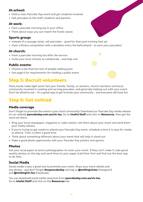### At school:

- Hold a class Pancake Day event and get students involved
- Sell pancakes to the staff, students and parents.

### At work:

- Host a pancake morning tea in your office
- Think about ways you can match the funds raised.

### Sports group:

- Instead of a sausage sizzle, sell pancakes good for that post-training fuel up!
- Have a fitness competition with a donation entry fee beforehand to earn your pancakes!

### At church:

- Have a pancake morning tea after the service
- Invite your local schools to collaborate and help out!

### Public events:

- Choose a site that has lots of people walking past
- See page 6 for requirements for holding a public event.

### Step 5: Recruit volunteers

Many hands make light work! Get your friends, family, co-workers, church members and local community involved in cooking and serving pancakes, and generally helping out with your event. Don't be afraid to ask – it's a great way to get to know your community – and everyone will have fun.

## Step 6: Get noticed

### Media coverage

Don't forget to promote the event in your local community! Download our Pancake Day media release on our website **pancakeday.com.au/vic-tas.** Go to Useful Stuff and click on Resources, then get the word out there.

- Ring your local newspaper, magazine or radio station, tell them about your event and send them your media release
- If you're trying to get media to attend your Pancake Day event, schedule a time it is easy for media to attend. 11am is often a good time
- Think about something different about your event that will help it stand out
- Make a good photo opportunity with your Pancake Day posters and aprons.

### **Photos**

Ask your local paper to send a photographer to cover your event. If they can't make it, take good quality photos on the day and send them to your paper (call them first and find out the best way to do this).

### Social Media

Social media is also a great tool to promote your event. Share your event details and any photos - and don't forget **#ucpancakeday** and tag us **@unitingvictas** (Instagram) and **@UnitingVic.Tas** (Facebook).

You can download social media resources from **pancakeday.com.au/vic-tas.** Go to Useful Stuff and click on the Resources tab.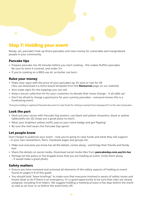### Step 7: Holding your event

Ready, set, pancake! Cook up those pancakes and raise money for vulnerable and marginalised people in your community.

### Pancake tips

- Prepare pancake mix 30 minutes before you start cooking this makes fluffier pancakes. Be sure to store it covered, and under 5°c
- If you're cooking on a BBQ use oil, as butter can burn.

### Raise your money

- Make clear signs with the price of your pancakes eg: \$5 each or two for \$8 (You can download a a menu board template from the Resources page on our website)
- Also make signs for the toppings you can sell
- Keep a secure collection tin for your customers to donate their loose change it all adds up!
- Don't be afraid to charge a good price for your yummy pancakes everyone knows this is a fundraising event.

*\*Everyone holding a registered Pancake Day event to raise funds for Uniting is exempt from charging GST on the sale of pancakes.*

### Look the part

- Deck out your venue with Pancake Day posters, use black and yellow streamers, black or yellow tablecloths etc (\$2 shops are a great place to start)
- Wear your brightest yellow outfit, pop on your name badge and get flipping!
- Be sure the chef wears the Pancake Day apron!

### Let people know

Don't forget to publicise your event – how you're going to raise funds and what they will support – in your own newsletters, fliers, Facebook pages and groups etc.

- Make sure everyone you know has all the details, comes along and brings their friends and family too!
- Share the details on social media. Download social media tiles from pancakeday.com.au/vic-tas
- Perhaps let the police or fire brigade know that you are holding an event. Invite them along – it would make a great photo.

### Safety matters

- Ensure you have reviewed and actioned all elements of the safety aspects of holding an event found on pages 6-8 of this guide
- You should hold "team briefings" to make sure that everyone involved is aware of safety issues and knows what to do if there is an emergency. It's a good opportunity to be sure that roles are clearly assigned, including First Aiders. We suggest holding a meeting at least a few days before the event as well as an hour or so before the event kicks off.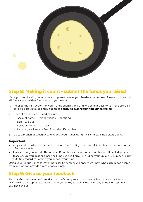

## Step 8: Making it count - submit the funds you raised

Make your fundraising count so our programs receive your hard-earned money. Please try to submit all funds raised within four weeks of your event.

- 1. Refer to the instructions on your Funds Submission Form and send it back to us in the pre-paid envelope provided, or email it to us at pancakeday.info@unitingvictas.org.au
- 2. Deposit online via EFT, and pay into:
	- Account name Uniting Vic.Tas Fundraising
	- BSB 033 005
	- Account number 347047
	- Include your Pancake Day Fundraiser ID number.
- 3. Go to a branch of Westpac and deposit your funds using the same banking details above.

#### Important:

- Every event coordinator received a unique Pancake Day Fundraiser ID number on their Authority to Fundraise letter
- Please ensure you include this unique ID number as the reference number on all bank deposits
- Please ensure you post or email the Funds Raised Form including your unique ID number back to Uniting regardless of how you deposit your funds.

Using your unique Pancake Day Fundraiser ID number will ensure we know who each deposit came from and we can provide a receipt accordingly.

### Step 9: Give us your feedback

Shortly after the event we'll send you a brief survey so you can give us feedback about Pancake Day. We'd really appreciate hearing what you think, as well as receiving any photos or clippings you can send us.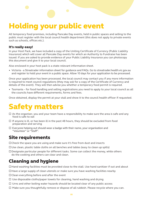# Holding your public event

All temporary food premises, including Pancake Day events, held in public spaces and selling to the public must register with the local council health department (this does not apply to private events such as schools, offices etc.).

### It's really easy!

In your Host Pack, we have included a copy of the Uniting Certificate of Currency (Public Liability Insurance) which will cover all Pancake Day events for which an Authority to Fundraise has been issued. If you are asked to provide evidence of your Public Liability Insurance you can photocopy this document and give it to your local council.

Also enclosed in your host pack is a state-relevant information sheet.

• Victoria - a Streatrader information sheet for guidance and FAQs. Go to streatrader.health.vic.gov.au and register to hold your event in a public space. Allow 10 days for your application to be processed.

Once your application has been processed, the local council may contact you if any more information is required to meet council regulations (they may ask for a copy of the Certificate of Currency and details of the event). They will then advise you whether a temporary food permit is required.

• Tasmania – for food handling and selling registrations you need to apply to your local council as all the councils have different requirements, forms and fees.

Once obtained, display the permit at your stall and show it to the council health officer if requested.

## Safety matters

- $\Box$  As the organiser, you and your team have a responsibility to make sure the area is safe and any food is safe to eat
- $\Box$  If anyone is ill, or has been ill in the past 48 hours, they should be excluded from food preparation and serving
- $\Box$  Everyone helping out should wear a badge with their name, your organisation and "Volunteer" or "Staff".

## Site requirements

- $\Box$  Check the space you are using and make sure it's free from dust and insects
- $\Box$  Use clean, plastic table cloths on all benches and tables (easy to clean up spills)
- $\Box$  Designate particular people for different tasks. Some can collect the money, while others do the cooking and others can clear and clean.

### Cleaning and hygiene

 $\Box$  Hand washing facilities must be provided close to the stall. Use hand sanitizer if out and about

 $\Box$  Have a large supply of clean utensils or make sure you have washing facilities nearby

 $\Box$  Clean everything before and after the event

- $\Box$  Use disposable cloths/paper towels for cleaning, hand washing and drying
- $\Box$  Urns and other boiling water hazards should be located clear of any public access
- $\Box$  Make sure you thoughtfully remove or dispose of all rubbish. Please recycle where you can.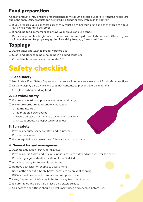## Food preparation

All dairy products, including pre-prepared pancake mix, must be stored under 5°c. It should not be left out in the open. Dairy products can be stored in a fridge or esky with ice in the bottom.

- $\Box$  If you prepared your pancakes earlier they must be re-heated to 70 $^{\circ}$ c and then stored at above 60°c while waiting to be served
- $\Box$  If handling food, remember to always wear gloves and use tongs
- $\Box$  Beware of possible allergies of customers. You can set up different stations for different types of pancakes and toppings, e.g. gluten free, dairy free, egg free or nut free.

## **Toppings**

- $\Box$  All fruit must be washed properly before use
- $\Box$  Sugar and other toppings should be in a lidded container
- $\square$  Chocolate items are best stored under 25°c.

## Safety checklist

### 1. Food safety

- $\Box$  Nominate a Food Safety Supervisor to ensure all helpers are clear about food safety practices
- $\Box$  List and display all pancake and toppings contents to prevent allergic reactions
- $\square$  Use gloves when handling food.

### 2. Electrical safety

- $\square$  Ensure all electrical appliances are tested and tagged
- $\Box$  Make sure cords are appropriately managed:
	- { No trip hazards
	- { No multiple powerboards
	- { Ensure all electrical items are located in a dry area
	- $\circ$  All leads should be inspected prior to use.

### 3. Sun safety

- $\Box$  Provide adequate shade for staff and volunteers
- $\square$  Provide sunscreen
- $\square$  Encourage helpers to wear hats if they are not in the shade.

### 4. General hazard management

- $\Box$  Allocate a qualified First Aider (Level 2)
- $\Box$  Provide a First Aid kit and ensure supplies are up to date and adequate for the event
- $\square$  Provide signage to identify location of the First Aid kit
- $\square$  Provide a trolley for moving larger items
- $\square$  Remove obstacles for people to access items
- $\Box$  Keep paths clear of rubbish, boxes, cords etc. to prevent tripping
- $\Box$  BBQs should be cleaned from fats and oils prior to use
- $\Box$  Urns, frypans and BBQs should be kept away from public access
- $\square$  Ensure tables and BBQs are placed on a stable surface
- $\Box$  Gas bottles and fittings should be well maintained and checked before use.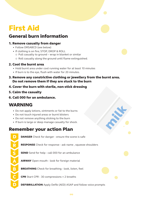## First Aid

## General burn information

### 1. Remove casualty from danger

- Follow DRSABCD (see below)
- If clothing is on fire; STOP, DROP & ROLL
	- { Pull casualty to ground wrap in blanket or similar
	- { Roll casualty along the ground until flame extinguished.

### 2. Cool the burnt area

- Hold burnt area under cool running water for at least 10 minutes
- If burn is to the eye, flush with water for 20 minutes.
- 3. Remove any constrictive clothing or jewellery from the burnt area. Do not remove them if they are stuck to the burn

### 4. Cover the burn with sterile, non-stick dressing

- 5. Calm the casualty
- 6. Call 000 for an ambulance.

## WARNING

- Do not apply lotions, ointments or fat to the burns
- Do not touch injured areas or burnt blisters
- Do not remove anything sticking to the burn
- If burn is large or deep manage casualty for shock.

## Remember your action Plan

R S B A C D

**DANGER** Check for danger - ensure the scene is safe

RESPONSE Check for response - ask name , squeeze shoulders

**SEND** Send for help - call 000 for an ambulance

AIRWAY Open mouth - look for foreign material

BREATHING Check for breathing - look, listen, feel

CPR Start CPR - 30 compressions = 2 breaths

**DEFIBRILLATION** Apply Defib (AED) ASAP and follow voice prompts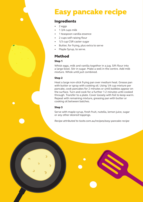## Easy pancake recipe

### Ingredients

- 2 eggs
- 1 3/4 cups milk
- 1 teaspoon vanilla essence
- 2 cups self-raising flour
- 1/3 cup CSR caster sugar
- Butter, for frying, plus extra to serve
- Maple Syrup, to serve.

### Method

#### Step 1

Whisk eggs, milk and vanilla together in a jug. Sift flour into a large bowl. Stir in sugar. Make a well in the centre. Add milk mixture. Whisk until just combined.

#### Step 2

Heat a large non-stick frying pan over medium heat. Grease pan with butter or spray with cooking oil. Using 1/4 cup mixture per pancake, cook pancakes for 2 minutes or until bubbles appear on the surface. Turn and cook for a further 1-2 minutes until cooked through. Transfer to a plate. Cover loosely with foil to keep warm. Repeat with remaining mixture, greasing pan with butter or cooking oil between batches.

#### Step 3

Serve with maple syrup, fresh fruit, nutella, lemon juice, sugar or any other desired toppings.

*Recipe attributed to taste.com.au/recipes/easy-pancake-recipe*